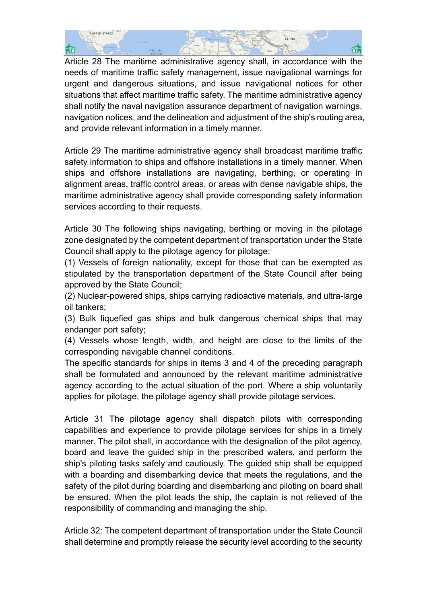

Article 28 The maritime administrative agency shall, in accordance with the needs of maritime traffic safety management, issue navigational warnings for urgent and dangerous situations, and issue navigational notices for other situations that affect maritime traffic safety. The maritime administrative agency shall notify the naval navigation assurance department of navigation warnings, navigation notices, and the delineation and adjustment of the ship's routing area, and provide relevant information in a timely manner.

Article 29 The maritime administrative agency shall broadcast maritime traffic safety information to ships and offshore installations in a timely manner. When ships and offshore installations are navigating, berthing, or operating in alignment areas, traffic control areas, or areas with dense navigable ships, the maritime administrative agency shall provide corresponding safety information services according to their requests.

Article 30 The following ships navigating, berthing or moving in the pilotage zone designated by the competent department of transportation under the State Council shall apply to the pilotage agency for pilotage:

(1) Vessels of foreign nationality, except for those that can be exempted as stipulated by the transportation department of the State Council after being approved by the State Council;

(2) Nuclear-powered ships, ships carrying radioactive materials, and ultra-large oil tankers;

(3) Bulk liquefied gas ships and bulk dangerous chemical ships that may endanger port safety;

(4) Vessels whose length, width, and height are close to the limits of the corresponding navigable channel conditions.

The specific standards for ships in items 3 and 4 of the preceding paragraph shall be formulated and announced by the relevant maritime administrative agency according to the actual situation of the port. Where a ship voluntarily applies for pilotage, the pilotage agency shall provide pilotage services.

Article 31 The pilotage agency shall dispatch pilots with corresponding capabilities and experience to provide pilotage services for ships in a timely manner. The pilot shall, in accordance with the designation of the pilot agency, board and leave the guided ship in the prescribed waters, and perform the ship's piloting tasks safely and cautiously. The guided ship shall be equipped with a boarding and disembarking device that meets the regulations, and the safety of the pilot during boarding and disembarking and piloting on board shall be ensured. When the pilot leads the ship, the captain is not relieved of the responsibility of commanding and managing the ship.

Article 32: The competent department of transportation under the State Council shall determine and promptly release the security level according to the security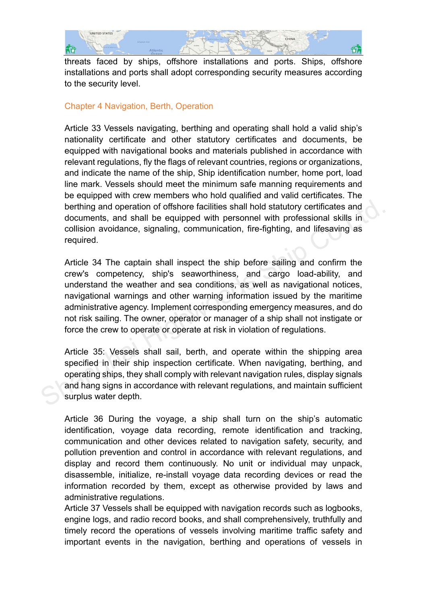

threats faced by ships, offshore installations and ports. Ships, offshore installations and ports shall adopt corresponding security measures according to the security level.

# Chapter 4 Navigation, Berth, Operation

Article 33 Vessels navigating, berthing and operating shall hold a valid ship's nationality certificate and other statutory certificates and documents, be equipped with navigational books and materials published in accordance with relevant regulations, fly the flags of relevant countries, regions or organizations, and indicate the name of the ship, Ship identification number, home port, load line mark. Vessels should meet the minimum safe manning requirements and be equipped with crew members who hold qualified and valid certificates. The berthing and operation of offshore facilities shall hold statutory certificates and documents, and shall be equipped with personnel with professional skills in collision avoidance, signaling, communication, fire-fighting, and lifesaving as required.

Article 34 The captain shall inspect the ship before sailing and confirm the crew's competency, ship's seaworthiness, and cargo load-ability, and understand the weather and sea conditions, as well as navigational notices, navigational warnings and other warning information issued by the maritime administrative agency. Implement corresponding emergency measures, and do not risk sailing. The owner, operator or manager of a ship shall not instigate or force the crew to operate or operate at risk in violation of regulations. berthing and operation of offshore facilities shall hold statutory certificates and<br>documents, and shall be equipped with personnel with professional skills in<br>collision avoidance, signaling, communication, fire-fighting,

Article 35: Vessels shall sail, berth, and operate within the shipping area specified in their ship inspection certificate. When navigating, berthing, and operating ships, they shall comply with relevant navigation rules, display signals and hang signs in accordance with relevant regulations, and maintain sufficient surplus water depth.

Article 36 During the voyage, a ship shall turn on the ship's automatic identification, voyage data recording, remote identification and tracking, communication and other devices related to navigation safety, security, and pollution prevention and control in accordance with relevant regulations, and display and record them continuously. No unit or individual may unpack, disassemble, initialize, re-install voyage data recording devices or read the information recorded by them, except as otherwise provided by laws and administrative regulations.

Article 37 Vessels shall be equipped with navigation records such as logbooks, engine logs, and radio record books, and shall comprehensively, truthfully and timely record the operations of vessels involving maritime traffic safety and important events in the navigation, berthing and operations of vessels in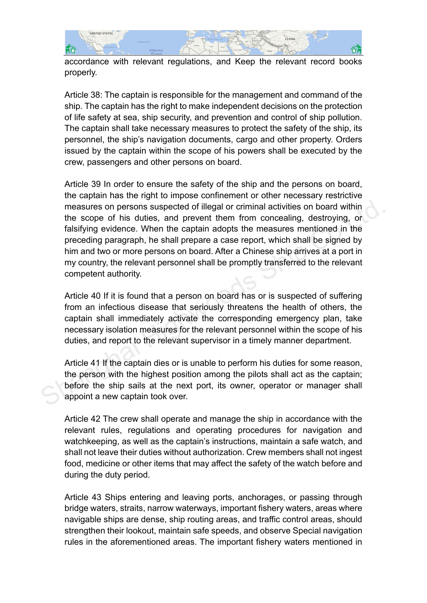

accordance with relevant regulations, and Keep the relevant record books properly.

Article 38: The captain is responsible for the management and command of the ship. The captain has the right to make independent decisions on the protection of life safety at sea, ship security, and prevention and control of ship pollution. The captain shall take necessary measures to protect the safety of the ship, its personnel, the ship's navigation documents, cargo and other property. Orders issued by the captain within the scope of his powers shall be executed by the crew, passengers and other persons on board.

Article 39 In order to ensure the safety of the ship and the persons on board, the captain has the right to impose confinement or other necessary restrictive measures on persons suspected of illegal or criminal activities on board within the scope of his duties, and prevent them from concealing, destroying, or falsifying evidence. When the captain adopts the measures mentioned in the preceding paragraph, he shall prepare a case report, which shall be signed by him and two or more persons on board. After a Chinese ship arrives at a port in my country, the relevant personnel shall be promptly transferred to the relevant competent authority. measures on persons suspected of illegal or criminal activities on board within<br>the scope of his duties, and prevent them from concealing, destroying, or<br>falsifying evidence. When the captain adopts the measures mentioned

Article 40 If it is found that a person on board has or is suspected of suffering from an infectious disease that seriously threatens the health of others, the captain shall immediately activate the corresponding emergency plan, take necessary isolation measures for the relevant personnel within the scope of his duties, and report to the relevant supervisor in a timely manner department.

Article 41 If the captain dies or is unable to perform his duties for some reason, the person with the highest position among the pilots shall act as the captain; before the ship sails at the next port, its owner, operator or manager shall appoint a new captain took over.

Article 42 The crew shall operate and manage the ship in accordance with the relevant rules, regulations and operating procedures for navigation and watchkeeping, as well as the captain's instructions, maintain a safe watch, and shall not leave their duties without authorization. Crew members shall not ingest food, medicine or other items that may affect the safety of the watch before and during the duty period.

Article 43 Ships entering and leaving ports, anchorages, or passing through bridge waters, straits, narrow waterways, important fishery waters, areas where navigable ships are dense, ship routing areas, and traffic control areas, should strengthen their lookout, maintain safe speeds, and observe Special navigation rules in the aforementioned areas. The important fishery waters mentioned in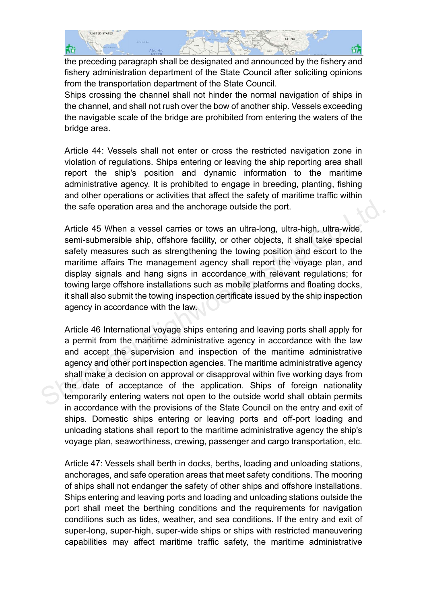

the preceding paragraph shall be designated and announced by the fishery and fishery administration department of the State Council after soliciting opinions from the transportation department of the State Council.

Ships crossing the channel shall not hinder the normal navigation of ships in the channel, and shall not rush over the bow of another ship. Vessels exceeding the navigable scale of the bridge are prohibited from entering the waters of the bridge area.

Article 44: Vessels shall not enter or cross the restricted navigation zone in violation of regulations. Ships entering or leaving the ship reporting area shall report the ship's position and dynamic information to the maritime administrative agency. It is prohibited to engage in breeding, planting, fishing and other operations or activities that affect the safety of maritime traffic within the safe operation area and the anchorage outside the port.

Article 45 When a vessel carries or tows an ultra-long, ultra-high, ultra-wide, semi-submersible ship, offshore facility, or other objects, it shall take special safety measures such as strengthening the towing position and escort to the maritime affairs The management agency shall report the voyage plan, and display signals and hang signs in accordance with relevant regulations; for towing large offshore installations such as mobile platforms and floating docks, it shall also submit the towing inspection certificate issued by the ship inspection agency in accordance with the law. the safe operation area and the anchorage outside the port.<br>Article 45 When a vessel carries or tows an ultra-long, ultra-high, ultra-wide,<br>semi-submersible ship, offshore facility, or other objects, it shall take special<br>

Article 46 International voyage ships entering and leaving ports shall apply for a permit from the maritime administrative agency in accordance with the law and accept the supervision and inspection of the maritime administrative agency and other port inspection agencies. The maritime administrative agency shall make a decision on approval or disapproval within five working days from the date of acceptance of the application. Ships of foreign nationality temporarily entering waters not open to the outside world shall obtain permits in accordance with the provisions of the State Council on the entry and exit of ships. Domestic ships entering or leaving ports and off-port loading and unloading stations shall report to the maritime administrative agency the ship's voyage plan, seaworthiness, crewing, passenger and cargo transportation, etc.

Article 47: Vessels shall berth in docks, berths, loading and unloading stations, anchorages, and safe operation areas that meet safety conditions. The mooring of ships shall not endanger the safety of other ships and offshore installations. Ships entering and leaving ports and loading and unloading stations outside the port shall meet the berthing conditions and the requirements for navigation conditions such as tides, weather, and sea conditions. If the entry and exit of super-long, super-high, super-wide ships or ships with restricted maneuvering capabilities may affect maritime traffic safety, the maritime administrative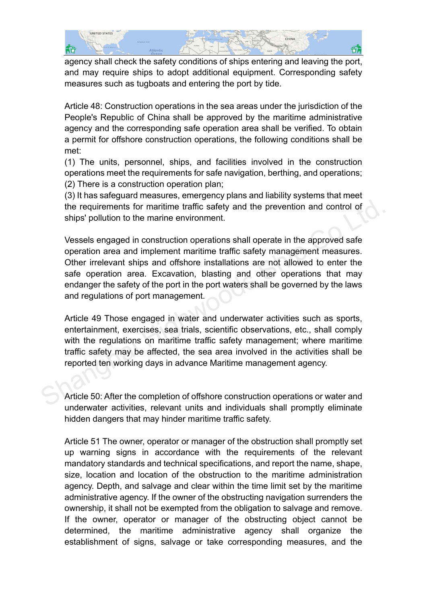

agency shall check the safety conditions of ships entering and leaving the port, and may require ships to adopt additional equipment. Corresponding safety measures such as tugboats and entering the port by tide.

Article 48: Construction operations in the sea areas under the jurisdiction of the People's Republic of China shall be approved by the maritime administrative agency and the corresponding safe operation area shall be verified. To obtain a permit for offshore construction operations, the following conditions shall be met:

(1) The units, personnel, ships, and facilities involved in the construction operations meet the requirements for safe navigation, berthing, and operations; (2) There is a construction operation plan;

(3) It has safeguard measures, emergency plans and liability systems that meet the requirements for maritime traffic safety and the prevention and control of ships' pollution to the marine environment.

Vessels engaged in construction operations shall operate in the approved safe operation area and implement maritime traffic safety management measures. Other irrelevant ships and offshore installations are not allowed to enter the safe operation area. Excavation, blasting and other operations that may endanger the safety of the port in the port waters shall be governed by the laws and regulations of port management. the requirements for maritime traffic safety and the prevention and control of ships' pollution to the marine environment.<br>
Vessels engaged in construction operations shall operate in the approved safe operation area and i

Article 49 Those engaged in water and underwater activities such as sports, entertainment, exercises, sea trials, scientific observations, etc., shall comply with the regulations on maritime traffic safety management; where maritime traffic safety may be affected, the sea area involved in the activities shall be reported ten working days in advance Maritime management agency.

Article 50: After the completion of offshore construction operations or water and underwater activities, relevant units and individuals shall promptly eliminate hidden dangers that may hinder maritime traffic safety.

Article 51 The owner, operator or manager of the obstruction shall promptly set up warning signs in accordance with the requirements of the relevant mandatory standards and technical specifications, and report the name, shape, size, location and location of the obstruction to the maritime administration agency. Depth, and salvage and clear within the time limit set by the maritime administrative agency. If the owner of the obstructing navigation surrenders the ownership, it shall not be exempted from the obligation to salvage and remove. If the owner, operator or manager of the obstructing object cannot be determined, the maritime administrative agency shall organize the establishment of signs, salvage or take corresponding measures, and the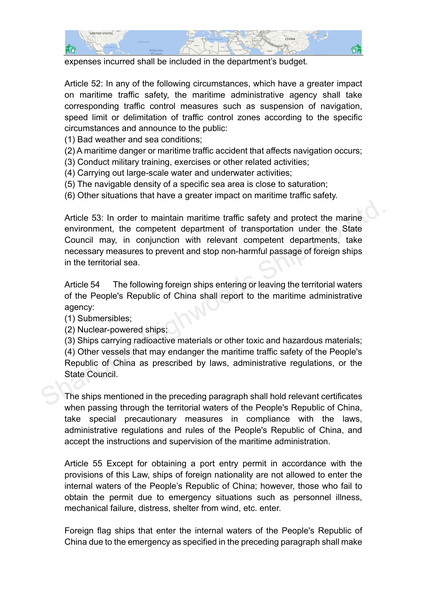

expenses incurred shall be included in the department's budget.

Article 52: In any of the following circumstances, which have a greater impact on maritime traffic safety, the maritime administrative agency shall take corresponding traffic control measures such as suspension of navigation, speed limit or delimitation of traffic control zones according to the specific circumstances and announce to the public:

(1) Bad weather and sea conditions;

- (2) A maritime danger or maritime traffic accident that affects navigation occurs;
- (3) Conduct military training, exercises or other related activities;
- (4) Carrying out large-scale water and underwater activities;
- (5) The navigable density of a specific sea area is close to saturation;
- (6) Other situations that have a greater impact on maritime traffic safety.

Article 53: In order to maintain maritime traffic safety and protect the marine environment, the competent department of transportation under the State Council may, in conjunction with relevant competent departments, take necessary measures to prevent and stop non-harmful passage of foreign ships in the territorial sea. Article 53: In order to maintain maritime traffic safety and protect the marine<br>environment, the competent department of transportation under the State<br>Council may, in conjunction with relevant competent departments, take<br>

Article 54 The following foreign ships entering or leaving the territorial waters of the People's Republic of China shall report to the maritime administrative agency:

(1) Submersibles;

(2) Nuclear-powered ships;

(3) Ships carrying radioactive materials or other toxic and hazardous materials; (4) Other vessels that may endanger the maritime traffic safety of the People's Republic of China as prescribed by laws, administrative regulations, or the State Council.

The ships mentioned in the preceding paragraph shall hold relevant certificates when passing through the territorial waters of the People's Republic of China, take special precautionary measures in compliance with the laws, administrative regulations and rules of the People's Republic of China, and accept the instructions and supervision of the maritime administration.

Article 55 Except for obtaining a port entry permit in accordance with the provisions of this Law, ships of foreign nationality are not allowed to enter the internal waters of the People's Republic of China; however, those who fail to obtain the permit due to emergency situations such as personnel illness, mechanical failure, distress, shelter from wind, etc. enter.

Foreign flag ships that enter the internal waters of the People's Republic of China due to the emergency as specified in the preceding paragraph shall make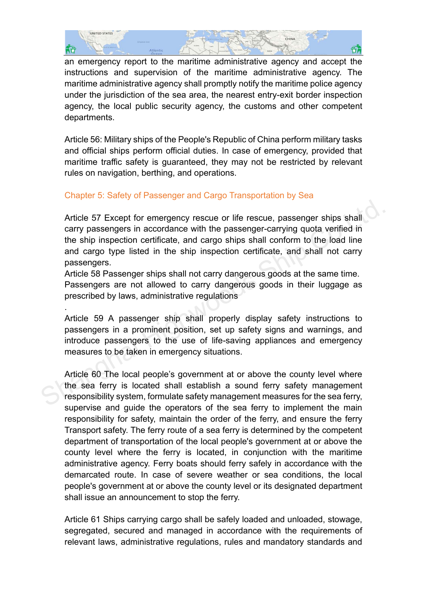

an emergency report to the maritime administrative agency and accept the instructions and supervision of the maritime administrative agency. The maritime administrative agency shall promptly notify the maritime police agency under the jurisdiction of the sea area, the nearest entry-exit border inspection agency, the local public security agency, the customs and other competent departments.

Article 56: Military ships of the People's Republic of China perform military tasks and official ships perform official duties. In case of emergency, provided that maritime traffic safety is guaranteed, they may not be restricted by relevant rules on navigation, berthing, and operations.

# Chapter 5: Safety of Passenger and Cargo Transportation by Sea

.

Article 57 Except for emergency rescue or life rescue, passenger ships shall carry passengers in accordance with the passenger-carrying quota verified in the ship inspection certificate, and cargo ships shall conform to the load line and cargo type listed in the ship inspection certificate, and shall not carry passengers. Article 57 Except for emergency rescue or life rescue, passenger ships shall<br>carry passengers in accordance with the passenger-carrying quota verified in<br>the ship inspection certificate, and cargo ships shall conform to th

Article 58 Passenger ships shall not carry dangerous goods at the same time. Passengers are not allowed to carry dangerous goods in their luggage as prescribed by laws, administrative regulations

Article 59 A passenger ship shall properly display safety instructions to passengers in a prominent position, set up safety signs and warnings, and introduce passengers to the use of life-saving appliances and emergency measures to be taken in emergency situations.

Article 60 The local people's government at or above the county level where the sea ferry is located shall establish a sound ferry safety management responsibility system, formulate safety management measures for the sea ferry, supervise and guide the operators of the sea ferry to implement the main responsibility for safety, maintain the order of the ferry, and ensure the ferry Transport safety. The ferry route of a sea ferry is determined by the competent department of transportation of the local people's government at or above the county level where the ferry is located, in conjunction with the maritime administrative agency. Ferry boats should ferry safely in accordance with the demarcated route. In case of severe weather or sea conditions, the local people's government at or above the county level or its designated department shall issue an announcement to stop the ferry.

Article 61 Ships carrying cargo shall be safely loaded and unloaded, stowage, segregated, secured and managed in accordance with the requirements of relevant laws, administrative regulations, rules and mandatory standards and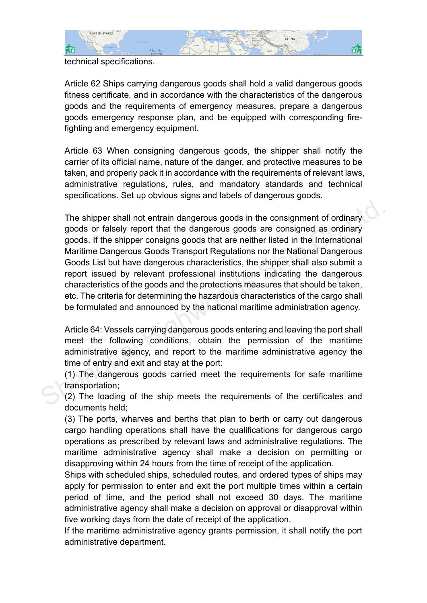

### technical specifications.

Article 62 Ships carrying dangerous goods shall hold a valid dangerous goods fitness certificate, and in accordance with the characteristics of the dangerous goods and the requirements of emergency measures, prepare a dangerous goods emergency response plan, and be equipped with corresponding firefighting and emergency equipment.

Article 63 When consigning dangerous goods, the shipper shall notify the carrier of its official name, nature of the danger, and protective measures to be taken, and properly pack it in accordance with the requirements of relevant laws, administrative regulations, rules, and mandatory standards and technical specifications. Set up obvious signs and labels of dangerous goods.

The shipper shall not entrain dangerous goods in the consignment of ordinary goods or falsely report that the dangerous goods are consigned as ordinary goods. If the shipper consigns goods that are neither listed in the International Maritime Dangerous Goods Transport Regulations nor the National Dangerous Goods List but have dangerous characteristics, the shipper shall also submit a report issued by relevant professional institutions indicating the dangerous characteristics of the goods and the protections measures that should be taken, etc. The criteria for determining the hazardous characteristics of the cargo shall be formulated and announced by the national maritime administration agency. The shipper shall not entrain dangerous goods in the consignment of ordinary<br>goods or falsely report that the dangerous goods are consigned as ordinary<br>goods. If the shipper consigns goods that are neither listed in the In

Article 64: Vessels carrying dangerous goods entering and leaving the port shall meet the following conditions, obtain the permission of the maritime administrative agency, and report to the maritime administrative agency the time of entry and exit and stay at the port:

(1) The dangerous goods carried meet the requirements for safe maritime transportation;

(2) The loading of the ship meets the requirements of the certificates and documents held;

(3) The ports, wharves and berths that plan to berth or carry out dangerous cargo handling operations shall have the qualifications for dangerous cargo operations as prescribed by relevant laws and administrative regulations. The maritime administrative agency shall make a decision on permitting or disapproving within 24 hours from the time of receipt of the application.

Ships with scheduled ships, scheduled routes, and ordered types of ships may apply for permission to enter and exit the port multiple times within a certain period of time, and the period shall not exceed 30 days. The maritime administrative agency shall make a decision on approval or disapproval within five working days from the date of receipt of the application.

If the maritime administrative agency grants permission, it shall notify the port administrative department.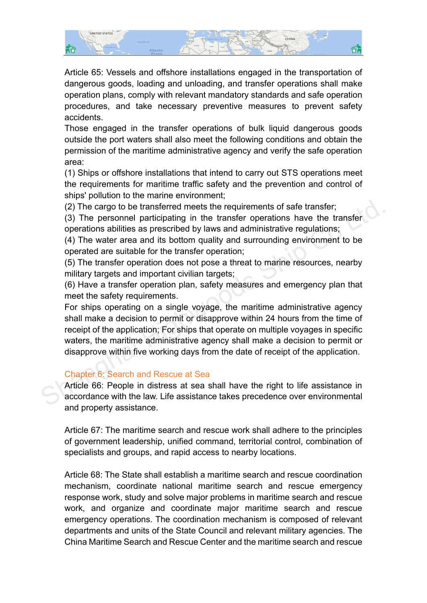

Article 65: Vessels and offshore installations engaged in the transportation of dangerous goods, loading and unloading, and transfer operations shall make operation plans, comply with relevant mandatory standards and safe operation procedures, and take necessary preventive measures to prevent safety accidents.

Those engaged in the transfer operations of bulk liquid dangerous goods outside the port waters shall also meet the following conditions and obtain the permission of the maritime administrative agency and verify the safe operation area:

(1) Ships or offshore installations that intend to carry out STS operations meet the requirements for maritime traffic safety and the prevention and control of ships' pollution to the marine environment;

(2) The cargo to be transferred meets the requirements of safe transfer;

(3) The personnel participating in the transfer operations have the transfer operations abilities as prescribed by laws and administrative regulations;

(4) The water area and its bottom quality and surrounding environment to be operated are suitable for the transfer operation;

(5) The transfer operation does not pose a threat to marine resources, nearby military targets and important civilian targets;

(6) Have a transfer operation plan, safety measures and emergency plan that meet the safety requirements.

For ships operating on a single voyage, the maritime administrative agency shall make a decision to permit or disapprove within 24 hours from the time of receipt of the application; For ships that operate on multiple voyages in specific waters, the maritime administrative agency shall make a decision to permit or disapprove within five working days from the date of receipt of the application. (2) The cargo to be transferred meets the requirements of safe transfer;<br>
(3) The personnel participating in the transfer operations have the transfer<br>
operations abilities as prescribed by laws and administrative regulat

# Chapter 6: Search and Rescue at Sea

Article 66: People in distress at sea shall have the right to life assistance in accordance with the law. Life assistance takes precedence over environmental and property assistance.

Article 67: The maritime search and rescue work shall adhere to the principles of government leadership, unified command, territorial control, combination of specialists and groups, and rapid access to nearby locations.

Article 68: The State shall establish a maritime search and rescue coordination mechanism, coordinate national maritime search and rescue emergency response work, study and solve major problems in maritime search and rescue work, and organize and coordinate major maritime search and rescue emergency operations. The coordination mechanism is composed of relevant departments and units of the State Council and relevant military agencies. The China Maritime Search and Rescue Center and the maritime search and rescue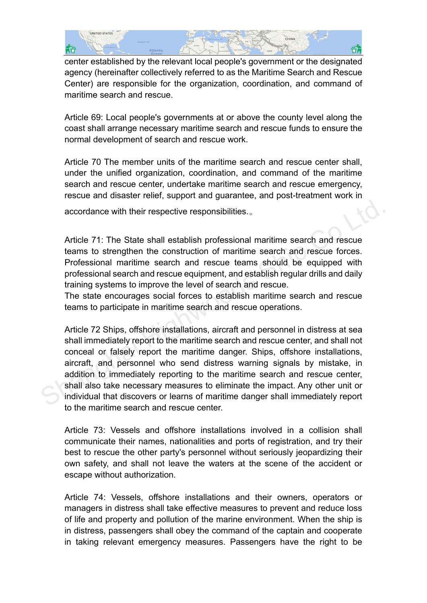

center established by the relevant local people's government or the designated agency (hereinafter collectively referred to as the Maritime Search and Rescue Center) are responsible for the organization, coordination, and command of maritime search and rescue.

Article 69: Local people's governments at or above the county level along the coast shall arrange necessary maritime search and rescue funds to ensure the normal development of search and rescue work.

Article 70 The member units of the maritime search and rescue center shall, under the unified organization, coordination, and command of the maritime search and rescue center, undertake maritime search and rescue emergency, rescue and disaster relief, support and guarantee, and post-treatment work in

accordance with their respective responsibilities.。

Article 71: The State shall establish professional maritime search and rescue teams to strengthen the construction of maritime search and rescue forces. Professional maritime search and rescue teams should be equipped with professional search and rescue equipment, and establish regular drills and daily training systems to improve the level of search and rescue.

The state encourages social forces to establish maritime search and rescue teams to participate in maritime search and rescue operations.

Article 72 Ships, offshore installations, aircraft and personnel in distress at sea shall immediately report to the maritime search and rescue center, and shall not conceal or falsely report the maritime danger. Ships, offshore installations, aircraft, and personnel who send distress warning signals by mistake, in addition to immediately reporting to the maritime search and rescue center, shall also take necessary measures to eliminate the impact. Any other unit or individual that discovers or learns of maritime danger shall immediately report to the maritime search and rescue center. accordance with their respective responsibilities...<br>Article 71: The State shall establish professional maritime search and rescue<br>teams to strengthen the construction of maritime search and rescue forces.<br>Professional mar

Article 73: Vessels and offshore installations involved in a collision shall communicate their names, nationalities and ports of registration, and try their best to rescue the other party's personnel without seriously jeopardizing their own safety, and shall not leave the waters at the scene of the accident or escape without authorization.

Article 74: Vessels, offshore installations and their owners, operators or managers in distress shall take effective measures to prevent and reduce loss of life and property and pollution of the marine environment. When the ship is in distress, passengers shall obey the command of the captain and cooperate in taking relevant emergency measures. Passengers have the right to be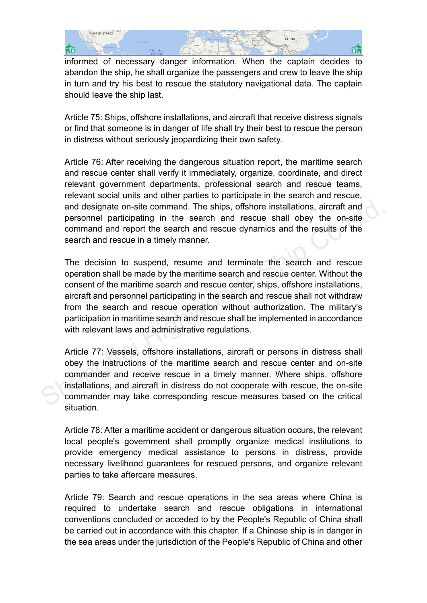

informed of necessary danger information. When the captain decides to abandon the ship, he shall organize the passengers and crew to leave the ship in turn and try his best to rescue the statutory navigational data. The captain should leave the ship last.

Article 75: Ships, offshore installations, and aircraft that receive distress signals or find that someone is in danger of life shall try their best to rescue the person in distress without seriously jeopardizing their own safety.

Article 76: After receiving the dangerous situation report, the maritime search and rescue center shall verify it immediately, organize, coordinate, and direct relevant government departments, professional search and rescue teams, relevant social units and other parties to participate in the search and rescue, and designate on-site command. The ships, offshore installations, aircraft and personnel participating in the search and rescue shall obey the on-site command and report the search and rescue dynamics and the results of the search and rescue in a timely manner.

The decision to suspend, resume and terminate the search and rescue operation shall be made by the maritime search and rescue center. Without the consent of the maritime search and rescue center, ships, offshore installations, aircraft and personnel participating in the search and rescue shall not withdraw from the search and rescue operation without authorization. The military's participation in maritime search and rescue shall be implemented in accordance with relevant laws and administrative regulations. and designate on-site command. The ships, offshore installations, aircraft and<br>personnel participating in the search and rescue shall obey the on-site<br>command and report the search and rescue dynamics and the results of th

Article 77: Vessels, offshore installations, aircraft or persons in distress shall obey the instructions of the maritime search and rescue center and on-site commander and receive rescue in a timely manner. Where ships, offshore installations, and aircraft in distress do not cooperate with rescue, the on-site commander may take corresponding rescue measures based on the critical situation.

Article 78: After a maritime accident or dangerous situation occurs, the relevant local people's government shall promptly organize medical institutions to provide emergency medical assistance to persons in distress, provide necessary livelihood guarantees for rescued persons, and organize relevant parties to take aftercare measures.

Article 79: Search and rescue operations in the sea areas where China is required to undertake search and rescue obligations in international conventions concluded or acceded to by the People's Republic of China shall be carried out in accordance with this chapter. If a Chinese ship is in danger in the sea areas under the jurisdiction of the People's Republic of China and other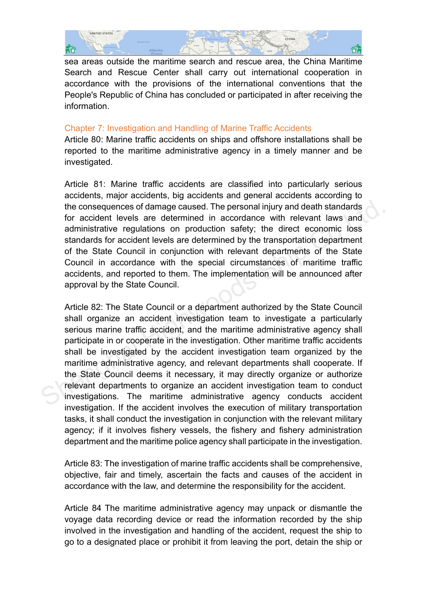

sea areas outside the maritime search and rescue area, the China Maritime Search and Rescue Center shall carry out international cooperation in accordance with the provisions of the international conventions that the People's Republic of China has concluded or participated in after receiving the information.

## Chapter 7: Investigation and Handling of Marine Traffic Accidents

Article 80: Marine traffic accidents on ships and offshore installations shall be reported to the maritime administrative agency in a timely manner and be investigated.

Article 81: Marine traffic accidents are classified into particularly serious accidents, major accidents, big accidents and general accidents according to the consequences of damage caused. The personal injury and death standards for accident levels are determined in accordance with relevant laws and administrative regulations on production safety; the direct economic loss standards for accident levels are determined by the transportation department of the State Council in conjunction with relevant departments of the State Council in accordance with the special circumstances of maritime traffic accidents, and reported to them. The implementation will be announced after approval by the State Council.

Article 82: The State Council or a department authorized by the State Council shall organize an accident investigation team to investigate a particularly serious marine traffic accident, and the maritime administrative agency shall participate in or cooperate in the investigation. Other maritime traffic accidents shall be investigated by the accident investigation team organized by the maritime administrative agency, and relevant departments shall cooperate. If the State Council deems it necessary, it may directly organize or authorize relevant departments to organize an accident investigation team to conduct investigations. The maritime administrative agency conducts accident investigation. If the accident involves the execution of military transportation tasks, it shall conduct the investigation in conjunction with the relevant military agency; if it involves fishery vessels, the fishery and fishery administration department and the maritime police agency shall participate in the investigation. the consequences of damage caused. The personal injury and death standards<br>for accident levels are determined in accordance with relevant laws and<br>administrative regulations on production safety; the direct economic loss<br>s

Article 83: The investigation of marine traffic accidents shall be comprehensive, objective, fair and timely, ascertain the facts and causes of the accident in accordance with the law, and determine the responsibility for the accident.

Article 84 The maritime administrative agency may unpack or dismantle the voyage data recording device or read the information recorded by the ship involved in the investigation and handling of the accident, request the ship to go to a designated place or prohibit it from leaving the port, detain the ship or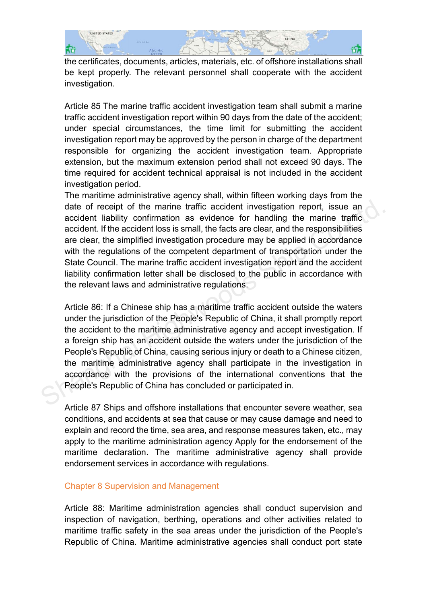

the certificates, documents, articles, materials, etc. of offshore installations shall be kept properly. The relevant personnel shall cooperate with the accident investigation.

Article 85 The marine traffic accident investigation team shall submit a marine traffic accident investigation report within 90 days from the date of the accident; under special circumstances, the time limit for submitting the accident investigation report may be approved by the person in charge of the department responsible for organizing the accident investigation team. Appropriate extension, but the maximum extension period shall not exceed 90 days. The time required for accident technical appraisal is not included in the accident investigation period.

The maritime administrative agency shall, within fifteen working days from the date of receipt of the marine traffic accident investigation report, issue an accident liability confirmation as evidence for handling the marine traffic accident. If the accident loss is small, the facts are clear, and the responsibilities are clear, the simplified investigation procedure may be applied in accordance with the regulations of the competent department of transportation under the State Council. The marine traffic accident investigation report and the accident liability confirmation letter shall be disclosed to the public in accordance with the relevant laws and administrative regulations. date of receipt of the marine traffic accident investigation report, issue an accident liability confirmation as evidence for handling the marine traffic accident. If the accident loss is small, the facts are clear, and th

Article 86: If a Chinese ship has a maritime traffic accident outside the waters under the jurisdiction of the People's Republic of China, it shall promptly report the accident to the maritime administrative agency and accept investigation. If a foreign ship has an accident outside the waters under the jurisdiction of the People's Republic of China, causing serious injury or death to a Chinese citizen, the maritime administrative agency shall participate in the investigation in accordance with the provisions of the international conventions that the People's Republic of China has concluded or participated in.

Article 87 Ships and offshore installations that encounter severe weather, sea conditions, and accidents at sea that cause or may cause damage and need to explain and record the time, sea area, and response measures taken, etc., may apply to the maritime administration agency Apply for the endorsement of the maritime declaration. The maritime administrative agency shall provide endorsement services in accordance with regulations.

#### Chapter 8 Supervision and Management

Article 88: Maritime administration agencies shall conduct supervision and inspection of navigation, berthing, operations and other activities related to maritime traffic safety in the sea areas under the jurisdiction of the People's Republic of China. Maritime administrative agencies shall conduct port state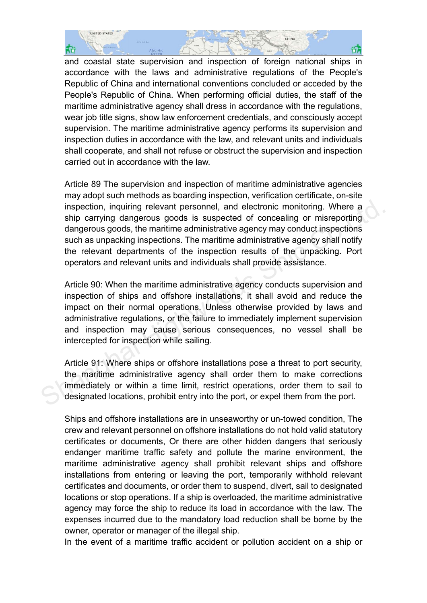

and coastal state supervision and inspection of foreign national ships in accordance with the laws and administrative regulations of the People's Republic of China and international conventions concluded or acceded by the People's Republic of China. When performing official duties, the staff of the maritime administrative agency shall dress in accordance with the regulations, wear job title signs, show law enforcement credentials, and consciously accept supervision. The maritime administrative agency performs its supervision and inspection duties in accordance with the law, and relevant units and individuals shall cooperate, and shall not refuse or obstruct the supervision and inspection carried out in accordance with the law.

Article 89 The supervision and inspection of maritime administrative agencies may adopt such methods as boarding inspection, verification certificate, on-site inspection, inquiring relevant personnel, and electronic monitoring. Where a ship carrying dangerous goods is suspected of concealing or misreporting dangerous goods, the maritime administrative agency may conduct inspections such as unpacking inspections. The maritime administrative agency shall notify the relevant departments of the inspection results of the unpacking. Port operators and relevant units and individuals shall provide assistance. inspection, inquiring relevant personnel, and electronic monitoring. Where a<br>ship carrying dangerous goods is suspected of concealing or misreporting<br>dangerous goods, the maritime administrative agency may conduct inspecti

Article 90: When the maritime administrative agency conducts supervision and inspection of ships and offshore installations, it shall avoid and reduce the impact on their normal operations. Unless otherwise provided by laws and administrative regulations, or the failure to immediately implement supervision and inspection may cause serious consequences, no vessel shall be intercepted for inspection while sailing.

Article 91: Where ships or offshore installations pose a threat to port security, the maritime administrative agency shall order them to make corrections immediately or within a time limit, restrict operations, order them to sail to designated locations, prohibit entry into the port, or expel them from the port.

Ships and offshore installations are in unseaworthy or un-towed condition, The crew and relevant personnel on offshore installations do not hold valid statutory certificates or documents, Or there are other hidden dangers that seriously endanger maritime traffic safety and pollute the marine environment, the maritime administrative agency shall prohibit relevant ships and offshore installations from entering or leaving the port, temporarily withhold relevant certificates and documents, or order them to suspend, divert, sail to designated locations or stop operations. If a ship is overloaded, the maritime administrative agency may force the ship to reduce its load in accordance with the law. The expenses incurred due to the mandatory load reduction shall be borne by the owner, operator or manager of the illegal ship.

In the event of a maritime traffic accident or pollution accident on a ship or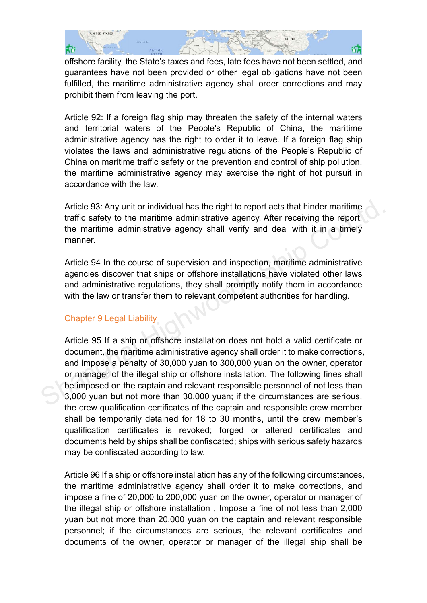

offshore facility, the State's taxes and fees, late fees have not been settled, and guarantees have not been provided or other legal obligations have not been fulfilled, the maritime administrative agency shall order corrections and may prohibit them from leaving the port.

Article 92: If a foreign flag ship may threaten the safety of the internal waters and territorial waters of the People's Republic of China, the maritime administrative agency has the right to order it to leave. If a foreign flag ship violates the laws and administrative regulations of the People's Republic of China on maritime traffic safety or the prevention and control of ship pollution, the maritime administrative agency may exercise the right of hot pursuit in accordance with the law.

Article 93: Any unit or individual has the right to report acts that hinder maritime traffic safety to the maritime administrative agency. After receiving the report, the maritime administrative agency shall verify and deal with it in a timely manner.

Article 94 In the course of supervision and inspection, maritime administrative agencies discover that ships or offshore installations have violated other laws and administrative regulations, they shall promptly notify them in accordance with the law or transfer them to relevant competent authorities for handling.

# Chapter 9 Legal Liability

Article 95 If a ship or offshore installation does not hold a valid certificate or document, the maritime administrative agency shall order it to make corrections, and impose a penalty of 30,000 yuan to 300,000 yuan on the owner, operator or manager of the illegal ship or offshore installation. The following fines shall be imposed on the captain and relevant responsible personnel of not less than 3,000 yuan but not more than 30,000 yuan; if the circumstances are serious, the crew qualification certificates of the captain and responsible crew member shall be temporarily detained for 18 to 30 months, until the crew member's qualification certificates is revoked; forged or altered certificates and documents held by ships shall be confiscated; ships with serious safety hazards may be confiscated according to law. Article 93: Any unit or individual has the right to report acts that hinder maritime<br>traffic safety to the maritime administrative agency. After receiving the report,<br>the maritime administrative agency shall verify and dea

Article 96 If a ship or offshore installation has any of the following circumstances, the maritime administrative agency shall order it to make corrections, and impose a fine of 20,000 to 200,000 yuan on the owner, operator or manager of the illegal ship or offshore installation , Impose a fine of not less than 2,000 yuan but not more than 20,000 yuan on the captain and relevant responsible personnel; if the circumstances are serious, the relevant certificates and documents of the owner, operator or manager of the illegal ship shall be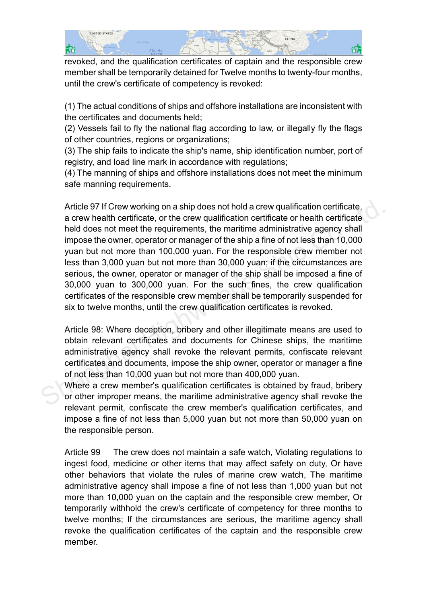

revoked, and the qualification certificates of captain and the responsible crew member shall be temporarily detained for Twelve months to twenty-four months, until the crew's certificate of competency is revoked:

(1) The actual conditions of ships and offshore installations are inconsistent with the certificates and documents held;

(2) Vessels fail to fly the national flag according to law, or illegally fly the flags of other countries, regions or organizations;

(3) The ship fails to indicate the ship's name, ship identification number, port of registry, and load line mark in accordance with regulations;

(4) The manning of ships and offshore installations does not meet the minimum safe manning requirements.

Article 97 If Crew working on a ship does not hold a crew qualification certificate, a crew health certificate, or the crew qualification certificate or health certificate held does not meet the requirements, the maritime administrative agency shall impose the owner, operator or manager of the ship a fine of not less than 10,000 yuan but not more than 100,000 yuan. For the responsible crew member not less than 3,000 yuan but not more than 30,000 yuan; if the circumstances are serious, the owner, operator or manager of the ship shall be imposed a fine of 30,000 yuan to 300,000 yuan. For the such fines, the crew qualification certificates of the responsible crew member shall be temporarily suspended for six to twelve months, until the crew qualification certificates is revoked. Article 97 If Crew working on a ship does not hold a crew qualification certificate,<br>a crew health certificate, or the crew qualification certificate or health certificate<br>held does not meet the requirements, the maritime

Article 98: Where deception, bribery and other illegitimate means are used to obtain relevant certificates and documents for Chinese ships, the maritime administrative agency shall revoke the relevant permits, confiscate relevant certificates and documents, impose the ship owner, operator or manager a fine of not less than 10,000 yuan but not more than 400,000 yuan.

Where a crew member's qualification certificates is obtained by fraud, bribery or other improper means, the maritime administrative agency shall revoke the relevant permit, confiscate the crew member's qualification certificates, and impose a fine of not less than 5,000 yuan but not more than 50,000 yuan on the responsible person.

Article 99 The crew does not maintain a safe watch, Violating regulations to ingest food, medicine or other items that may affect safety on duty, Or have other behaviors that violate the rules of marine crew watch, The maritime administrative agency shall impose a fine of not less than 1,000 yuan but not more than 10,000 yuan on the captain and the responsible crew member, Or temporarily withhold the crew's certificate of competency for three months to twelve months; If the circumstances are serious, the maritime agency shall revoke the qualification certificates of the captain and the responsible crew member.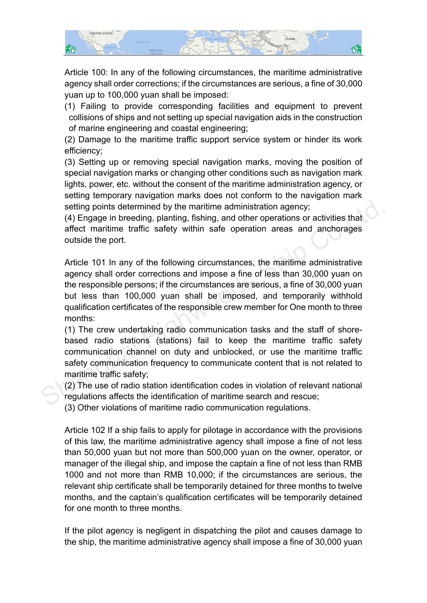

Article 100: In any of the following circumstances, the maritime administrative agency shall order corrections; if the circumstances are serious, a fine of 30,000 yuan up to 100,000 yuan shall be imposed:

(1) Failing to provide corresponding facilities and equipment to prevent collisions of ships and not setting up special navigation aids in the construction of marine engineering and coastal engineering;

(2) Damage to the maritime traffic support service system or hinder its work efficiency;

(3) Setting up or removing special navigation marks, moving the position of special navigation marks or changing other conditions such as navigation mark lights, power, etc. without the consent of the maritime administration agency, or setting temporary navigation marks does not conform to the navigation mark setting points determined by the maritime administration agency;

(4) Engage in breeding, planting, fishing, and other operations or activities that affect maritime traffic safety within safe operation areas and anchorages outside the port.

Article 101 In any of the following circumstances, the maritime administrative agency shall order corrections and impose a fine of less than 30,000 yuan on the responsible persons; if the circumstances are serious, a fine of 30,000 yuan but less than 100,000 yuan shall be imposed, and temporarily withhold qualification certificates of the responsible crew member for One month to three months: setting points determined by the maritime administration agency;<br>
(4) Engage in breeding, planting, fishing, and other operations or activities that<br>
affect maritime traffic safety within safe operation areas and anchorage

(1) The crew undertaking radio communication tasks and the staff of shorebased radio stations (stations) fail to keep the maritime traffic safety communication channel on duty and unblocked, or use the maritime traffic safety communication frequency to communicate content that is not related to maritime traffic safety;

(2) The use of radio station identification codes in violation of relevant national regulations affects the identification of maritime search and rescue;

(3) Other violations of maritime radio communication regulations.

Article 102 If a ship fails to apply for pilotage in accordance with the provisions of this law, the maritime administrative agency shall impose a fine of not less than 50,000 yuan but not more than 500,000 yuan on the owner, operator, or manager of the illegal ship, and impose the captain a fine of not less than RMB 1000 and not more than RMB 10,000; if the circumstances are serious, the relevant ship certificate shall be temporarily detained for three months to twelve months, and the captain's qualification certificates will be temporarily detained for one month to three months.

If the pilot agency is negligent in dispatching the pilot and causes damage to the ship, the maritime administrative agency shall impose a fine of 30,000 yuan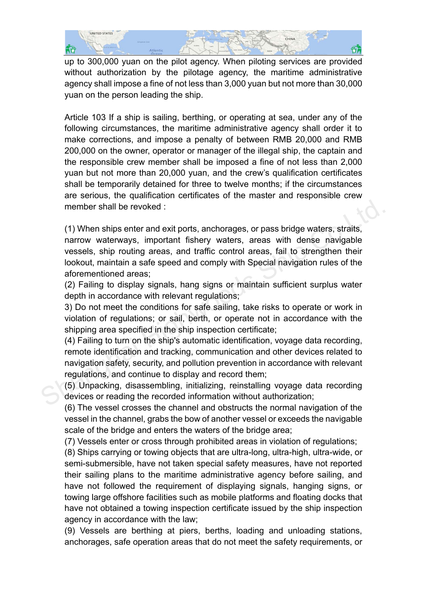

up to 300,000 yuan on the pilot agency. When piloting services are provided without authorization by the pilotage agency, the maritime administrative agency shall impose a fine of not less than 3,000 yuan but not more than 30,000 yuan on the person leading the ship.

Article 103 If a ship is sailing, berthing, or operating at sea, under any of the following circumstances, the maritime administrative agency shall order it to make corrections, and impose a penalty of between RMB 20,000 and RMB 200,000 on the owner, operator or manager of the illegal ship, the captain and the responsible crew member shall be imposed a fine of not less than 2,000 yuan but not more than 20,000 yuan, and the crew's qualification certificates shall be temporarily detained for three to twelve months; if the circumstances are serious, the qualification certificates of the master and responsible crew member shall be revoked :

(1) When ships enter and exit ports, anchorages, or pass bridge waters, straits, narrow waterways, important fishery waters, areas with dense navigable vessels, ship routing areas, and traffic control areas, fail to strengthen their lookout, maintain a safe speed and comply with Special navigation rules of the aforementioned areas; member shall be revoked :<br>
(1) When ships enter and exit ports, anchorages, or pass bridge waters, straits,<br>
narrow waterways, important fishery waters, areas with dense navigable<br>
vessels, ship routing areas, and traffic

(2) Failing to display signals, hang signs or maintain sufficient surplus water depth in accordance with relevant regulations;

3) Do not meet the conditions for safe sailing, take risks to operate or work in violation of regulations; or sail, berth, or operate not in accordance with the shipping area specified in the ship inspection certificate;

(4) Failing to turn on the ship's automatic identification, voyage data recording, remote identification and tracking, communication and other devices related to navigation safety, security, and pollution prevention in accordance with relevant regulations, and continue to display and record them;

(5) Unpacking, disassembling, initializing, reinstalling voyage data recording devices or reading the recorded information without authorization;

(6) The vessel crosses the channel and obstructs the normal navigation of the vessel in the channel, grabs the bow of another vessel or exceeds the navigable scale of the bridge and enters the waters of the bridge area;

(7) Vessels enter or cross through prohibited areas in violation of regulations;

(8) Ships carrying or towing objects that are ultra-long, ultra-high, ultra-wide, or semi-submersible, have not taken special safety measures, have not reported their sailing plans to the maritime administrative agency before sailing, and have not followed the requirement of displaying signals, hanging signs, or towing large offshore facilities such as mobile platforms and floating docks that have not obtained a towing inspection certificate issued by the ship inspection agency in accordance with the law;

(9) Vessels are berthing at piers, berths, loading and unloading stations, anchorages, safe operation areas that do not meet the safety requirements, or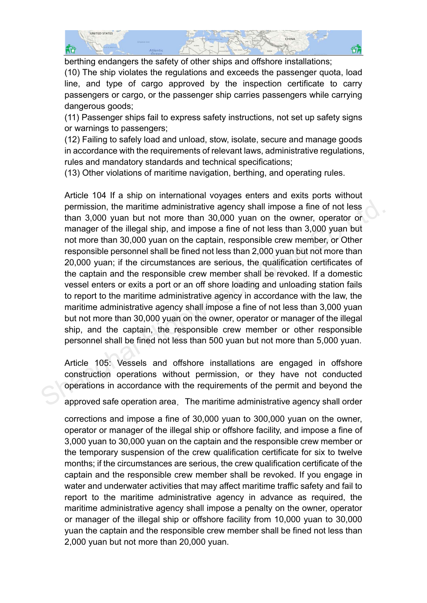

berthing endangers the safety of other ships and offshore installations;

(10) The ship violates the regulations and exceeds the passenger quota, load line, and type of cargo approved by the inspection certificate to carry passengers or cargo, or the passenger ship carries passengers while carrying dangerous goods;

(11) Passenger ships fail to express safety instructions, not set up safety signs or warnings to passengers;

(12) Failing to safely load and unload, stow, isolate, secure and manage goods in accordance with the requirements of relevant laws, administrative regulations, rules and mandatory standards and technical specifications;

(13) Other violations of maritime navigation, berthing, and operating rules.

Article 104 If a ship on international voyages enters and exits ports without permission, the maritime administrative agency shall impose a fine of not less than 3,000 yuan but not more than 30,000 yuan on the owner, operator or manager of the illegal ship, and impose a fine of not less than 3,000 yuan but not more than 30,000 yuan on the captain, responsible crew member, or Other responsible personnel shall be fined not less than 2,000 yuan but not more than 20,000 yuan; if the circumstances are serious, the qualification certificates of the captain and the responsible crew member shall be revoked. If a domestic vessel enters or exits a port or an off shore loading and unloading station fails to report to the maritime administrative agency in accordance with the law, the maritime administrative agency shall impose a fine of not less than 3,000 yuan but not more than 30,000 yuan on the owner, operator or manager of the illegal ship, and the captain, the responsible crew member or other responsible personnel shall be fined not less than 500 yuan but not more than 5,000 yuan. permission, the maritime administrative agency shall impose a fine of not less<br>than 3,000 yuan but not more than 30,000 yuan on the owner, operator or<br>manager of the illegal ship, and impose a fine of not less than 3,000 y

Article 105: Vessels and offshore installations are engaged in offshore construction operations without permission, or they have not conducted operations in accordance with the requirements of the permit and beyond the

approved safe operation area, The maritime administrative agency shall order

corrections and impose a fine of 30,000 yuan to 300,000 yuan on the owner, operator or manager of the illegal ship or offshore facility, and impose a fine of 3,000 yuan to 30,000 yuan on the captain and the responsible crew member or the temporary suspension of the crew qualification certificate for six to twelve months; if the circumstances are serious, the crew qualification certificate of the captain and the responsible crew member shall be revoked. If you engage in water and underwater activities that may affect maritime traffic safety and fail to report to the maritime administrative agency in advance as required, the maritime administrative agency shall impose a penalty on the owner, operator or manager of the illegal ship or offshore facility from 10,000 yuan to 30,000 yuan the captain and the responsible crew member shall be fined not less than 2,000 yuan but not more than 20,000 yuan.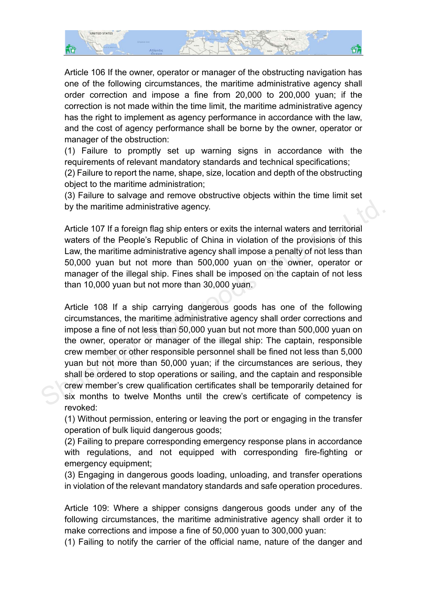

Article 106 If the owner, operator or manager of the obstructing navigation has one of the following circumstances, the maritime administrative agency shall order correction and impose a fine from 20,000 to 200,000 yuan; if the correction is not made within the time limit, the maritime administrative agency has the right to implement as agency performance in accordance with the law, and the cost of agency performance shall be borne by the owner, operator or manager of the obstruction:

(1) Failure to promptly set up warning signs in accordance with the requirements of relevant mandatory standards and technical specifications;

(2) Failure to report the name, shape, size, location and depth of the obstructing object to the maritime administration;

(3) Failure to salvage and remove obstructive objects within the time limit set by the maritime administrative agency.

Article 107 If a foreign flag ship enters or exits the internal waters and territorial waters of the People's Republic of China in violation of the provisions of this Law, the maritime administrative agency shall impose a penalty of not less than 50,000 yuan but not more than 500,000 yuan on the owner, operator or manager of the illegal ship. Fines shall be imposed on the captain of not less than 10,000 yuan but not more than 30,000 yuan.

Article 108 If a ship carrying dangerous goods has one of the following circumstances, the maritime administrative agency shall order corrections and impose a fine of not less than 50,000 yuan but not more than 500,000 yuan on the owner, operator or manager of the illegal ship: The captain, responsible crew member or other responsible personnel shall be fined not less than 5,000 yuan but not more than 50,000 yuan; if the circumstances are serious, they shall be ordered to stop operations or sailing, and the captain and responsible crew member's crew qualification certificates shall be temporarily detained for six months to twelve Months until the crew's certificate of competency is revoked: by the maritime administrative agency.<br>
Article 107 If a foreign flag ship enters or exits the internal waters and territorial<br>
waters of the People's Republic of China in violation of the provisions of this<br>
Law, the mari

(1) Without permission, entering or leaving the port or engaging in the transfer operation of bulk liquid dangerous goods;

(2) Failing to prepare corresponding emergency response plans in accordance with regulations, and not equipped with corresponding fire-fighting or emergency equipment;

(3) Engaging in dangerous goods loading, unloading, and transfer operations in violation of the relevant mandatory standards and safe operation procedures.

Article 109: Where a shipper consigns dangerous goods under any of the following circumstances, the maritime administrative agency shall order it to make corrections and impose a fine of 50,000 yuan to 300,000 yuan:

(1) Failing to notify the carrier of the official name, nature of the danger and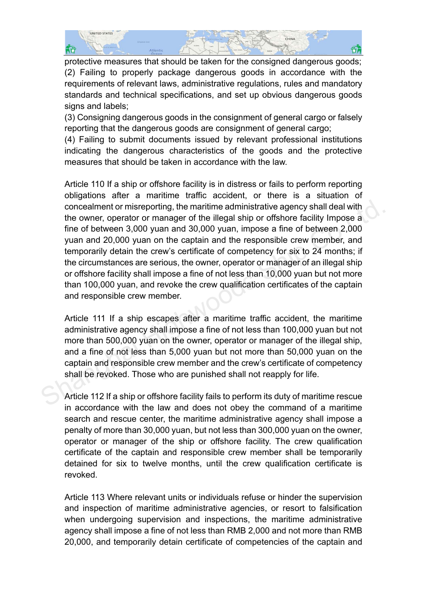

protective measures that should be taken for the consigned dangerous goods; (2) Failing to properly package dangerous goods in accordance with the requirements of relevant laws, administrative regulations, rules and mandatory standards and technical specifications, and set up obvious dangerous goods signs and labels;

(3) Consigning dangerous goods in the consignment of general cargo or falsely reporting that the dangerous goods are consignment of general cargo;

(4) Failing to submit documents issued by relevant professional institutions indicating the dangerous characteristics of the goods and the protective measures that should be taken in accordance with the law.

Article 110 If a ship or offshore facility is in distress or fails to perform reporting obligations after a maritime traffic accident, or there is a situation of concealment or misreporting, the maritime administrative agency shall deal with the owner, operator or manager of the illegal ship or offshore facility Impose a fine of between 3,000 yuan and 30,000 yuan, impose a fine of between 2,000 yuan and 20,000 yuan on the captain and the responsible crew member, and temporarily detain the crew's certificate of competency for six to 24 months; if the circumstances are serious, the owner, operator or manager of an illegal ship or offshore facility shall impose a fine of not less than 10,000 yuan but not more than 100,000 yuan, and revoke the crew qualification certificates of the captain and responsible crew member. concealment or misreporting, the maritime administrative agency shall deal with<br>the owner, operator or manager of the illegal ship or offshore facility Impose a<br>fine of between 3,000 yuan and 30,000 yuan, impose a fine of

Article 111 If a ship escapes after a maritime traffic accident, the maritime administrative agency shall impose a fine of not less than 100,000 yuan but not more than 500,000 yuan on the owner, operator or manager of the illegal ship, and a fine of not less than 5,000 yuan but not more than 50,000 yuan on the captain and responsible crew member and the crew's certificate of competency shall be revoked. Those who are punished shall not reapply for life.

Article 112 If a ship or offshore facility fails to perform its duty of maritime rescue in accordance with the law and does not obey the command of a maritime search and rescue center, the maritime administrative agency shall impose a penalty of more than 30,000 yuan, but not less than 300,000 yuan on the owner, operator or manager of the ship or offshore facility. The crew qualification certificate of the captain and responsible crew member shall be temporarily detained for six to twelve months, until the crew qualification certificate is revoked.

Article 113 Where relevant units or individuals refuse or hinder the supervision and inspection of maritime administrative agencies, or resort to falsification when undergoing supervision and inspections, the maritime administrative agency shall impose a fine of not less than RMB 2,000 and not more than RMB 20,000, and temporarily detain certificate of competencies of the captain and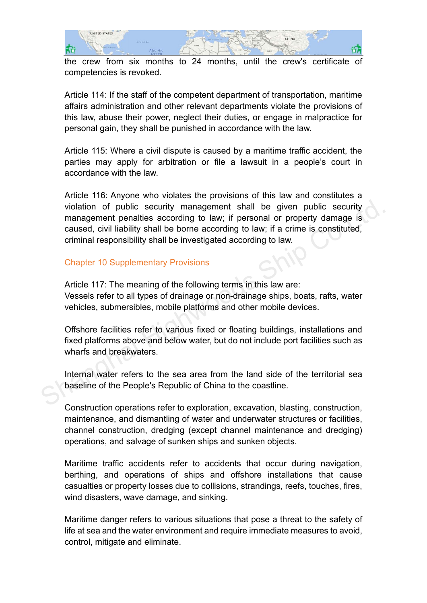

the crew from six months to 24 months, until the crew's certificate of competencies is revoked.

Article 114: If the staff of the competent department of transportation, maritime affairs administration and other relevant departments violate the provisions of this law, abuse their power, neglect their duties, or engage in malpractice for personal gain, they shall be punished in accordance with the law.

Article 115: Where a civil dispute is caused by a maritime traffic accident, the parties may apply for arbitration or file a lawsuit in a people's court in accordance with the law.

Article 116: Anyone who violates the provisions of this law and constitutes a violation of public security management shall be given public security management penalties according to law; if personal or property damage is caused, civil liability shall be borne according to law; if a crime is constituted, criminal responsibility shall be investigated according to law. violation of public security management shall be given public security<br>management penalties according to law; if personal or property damage is<br>caused, civil liability shall be borne according to law; if a crime is constit

# Chapter 10 Supplementary Provisions

Article 117: The meaning of the following terms in this law are: Vessels refer to all types of drainage or non-drainage ships, boats, rafts, water vehicles, submersibles, mobile platforms and other mobile devices.

Offshore facilities refer to various fixed or floating buildings, installations and fixed platforms above and below water, but do not include port facilities such as wharfs and breakwaters.

Internal water refers to the sea area from the land side of the territorial sea baseline of the People's Republic of China to the coastline.

Construction operations refer to exploration, excavation, blasting, construction, maintenance, and dismantling of water and underwater structures or facilities, channel construction, dredging (except channel maintenance and dredging) operations, and salvage of sunken ships and sunken objects.

Maritime traffic accidents refer to accidents that occur during navigation, berthing, and operations of ships and offshore installations that cause casualties or property losses due to collisions, strandings, reefs, touches, fires, wind disasters, wave damage, and sinking.

Maritime danger refers to various situations that pose a threat to the safety of life at sea and the water environment and require immediate measures to avoid, control, mitigate and eliminate.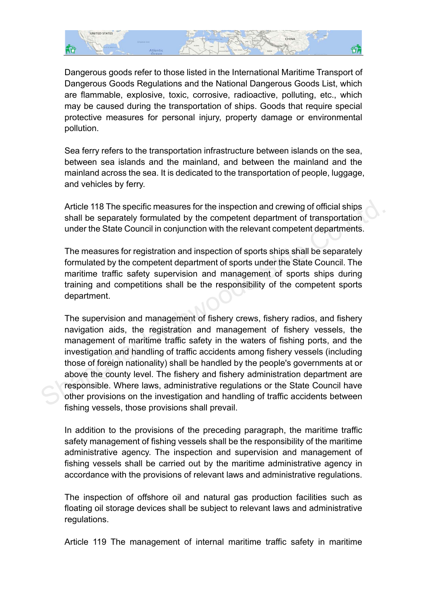

Dangerous goods refer to those listed in the International Maritime Transport of Dangerous Goods Regulations and the National Dangerous Goods List, which are flammable, explosive, toxic, corrosive, radioactive, polluting, etc., which may be caused during the transportation of ships. Goods that require special protective measures for personal injury, property damage or environmental pollution.

Sea ferry refers to the transportation infrastructure between islands on the sea, between sea islands and the mainland, and between the mainland and the mainland across the sea. It is dedicated to the transportation of people, luggage, and vehicles by ferry.

Article 118 The specific measures for the inspection and crewing of official ships shall be separately formulated by the competent department of transportation under the State Council in conjunction with the relevant competent departments.

The measures for registration and inspection of sports ships shall be separately formulated by the competent department of sports under the State Council. The maritime traffic safety supervision and management of sports ships during training and competitions shall be the responsibility of the competent sports department.

The supervision and management of fishery crews, fishery radios, and fishery navigation aids, the registration and management of fishery vessels, the management of maritime traffic safety in the waters of fishing ports, and the investigation and handling of traffic accidents among fishery vessels (including those of foreign nationality) shall be handled by the people's governments at or above the county level. The fishery and fishery administration department are responsible. Where laws, administrative regulations or the State Council have other provisions on the investigation and handling of traffic accidents between fishing vessels, those provisions shall prevail. Article 118 The specific measures for the inspection and crewing of official ships<br>shall be separately formulated by the competent department of transportation<br>under the State Council in conjunction with the relevant compe

In addition to the provisions of the preceding paragraph, the maritime traffic safety management of fishing vessels shall be the responsibility of the maritime administrative agency. The inspection and supervision and management of fishing vessels shall be carried out by the maritime administrative agency in accordance with the provisions of relevant laws and administrative regulations.

The inspection of offshore oil and natural gas production facilities such as floating oil storage devices shall be subject to relevant laws and administrative regulations.

Article 119 The management of internal maritime traffic safety in maritime